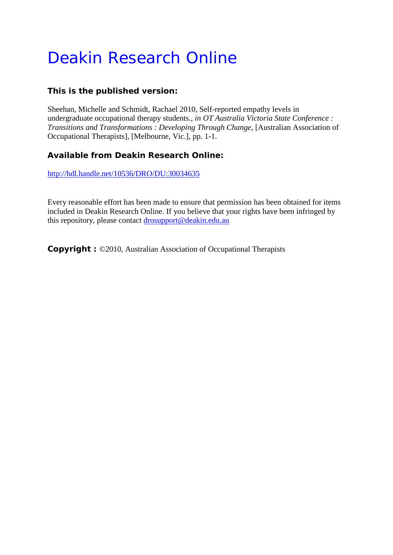# Deakin Research Online

## **This is the published version:**

Sheehan, Michelle and Schmidt, Rachael 2010, Self-reported empathy levels in undergraduate occupational therapy students.*, in OT Australia Victoria State Conference : Transitions and Transformations : Developing Through Change*, [Australian Association of Occupational Therapists], [Melbourne, Vic.], pp. 1-1.

## **Available from Deakin Research Online:**

<http://hdl.handle.net/10536/DRO/DU:30034635>

Every reasonable effort has been made to ensure that permission has been obtained for items included in Deakin Research Online. If you believe that your rights have been infringed by this repository, please contact [drosupport@deakin.edu.au](mailto:drosupport@deakin.edu.au)

**Copyright :** ©2010, Australian Association of Occupational Therapists